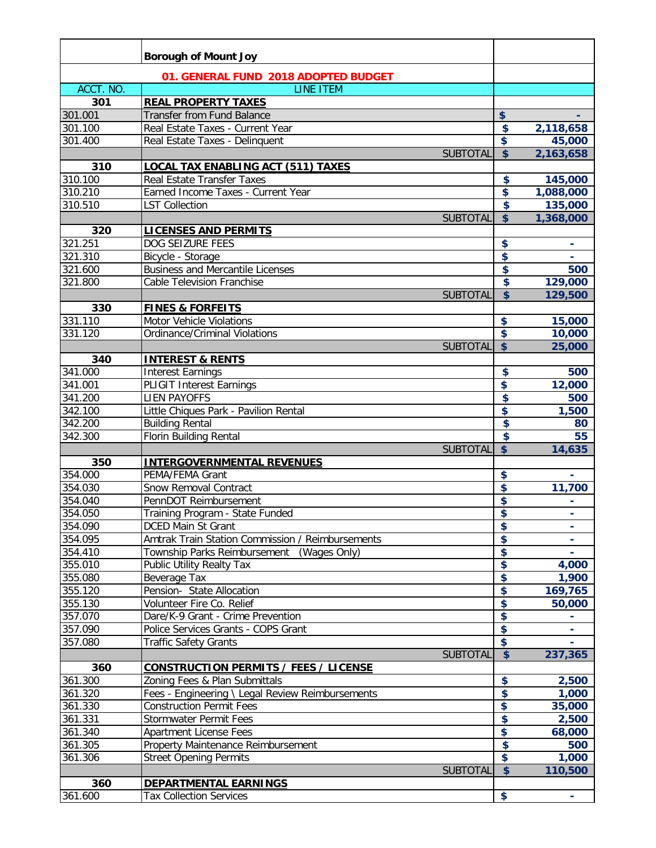|                    | <b>Borough of Mount Joy</b>                      |                 |                         |                    |
|--------------------|--------------------------------------------------|-----------------|-------------------------|--------------------|
|                    | 01. GENERAL FUND 2018 ADOPTED BUDGET             |                 |                         |                    |
| ACCT. NO.          | <b>LINE ITEM</b>                                 |                 |                         |                    |
| 301                | <b>REAL PROPERTY TAXES</b>                       |                 |                         |                    |
| 301.001            | <b>Transfer from Fund Balance</b>                |                 | \$                      |                    |
| 301.100            | Real Estate Taxes - Current Year                 |                 | \$                      | 2,118,658          |
| 301.400            | Real Estate Taxes - Delinquent                   |                 | \$                      | 45,000             |
|                    |                                                  | <b>SUBTOTAL</b> | $\overline{\$}$         | 2,163,658          |
| 310                | LOCAL TAX ENABLING ACT (511) TAXES               |                 |                         |                    |
| 310.100            | <b>Real Estate Transfer Taxes</b>                |                 | \$                      | 145,000            |
| 310.210            | Earned Income Taxes - Current Year               |                 | \$                      | 1,088,000          |
| 310.510            | <b>LST Collection</b>                            |                 | $\overline{\mathbf{S}}$ | 135,000            |
|                    |                                                  | <b>SUBTOTAL</b> | $\overline{\mathbf{S}}$ | 1,368,000          |
| 320                | LICENSES AND PERMITS                             |                 |                         |                    |
| 321.251            | DOG SEIZURE FEES                                 |                 | \$                      |                    |
| 321.310            | Bicycle - Storage                                |                 | \$                      |                    |
| 321.600            | <b>Business and Mercantile Licenses</b>          |                 | \$                      | 500                |
| 321.800            | Cable Television Franchise                       |                 | $\overline{\mathbf{S}}$ | 129,000            |
|                    |                                                  | <b>SUBTOTAL</b> | $\overline{\$}$         | 129,500            |
| 330                | <b>FINES &amp; FORFEITS</b>                      |                 |                         |                    |
| 331.110            | Motor Vehicle Violations                         |                 | \$                      | 15,000             |
| 331.120            | <b>Ordinance/Criminal Violations</b>             |                 | \$                      | 10,000             |
|                    |                                                  | <b>SUBTOTAL</b> | $\overline{\mathbf{S}}$ | 25,000             |
| 340                | <b>INTEREST &amp; RENTS</b>                      |                 |                         |                    |
| 341.000            | <b>Interest Earnings</b>                         |                 | \$                      | 500                |
| 341.001            | <b>PLIGIT Interest Earnings</b>                  |                 | \$                      | 12,000             |
| 341.200            | <b>LIEN PAYOFFS</b>                              |                 | \$                      | 500                |
| 342.100            | Little Chiques Park - Pavilion Rental            |                 | \$<br>\$                | $\overline{1,}500$ |
| 342.200<br>342.300 | <b>Building Rental</b><br>Florin Building Rental |                 | $\overline{\mathbf{S}}$ | 80<br>55           |
|                    |                                                  | <b>SUBTOTAL</b> | $\overline{\mathbf{S}}$ | 14,635             |
| 350                | <b>INTERGOVERNMENTAL REVENUES</b>                |                 |                         |                    |
| 354.000            | PEMA/FEMA Grant                                  |                 | \$                      |                    |
| 354.030            | Snow Removal Contract                            |                 | \$                      | 11,700             |
| 354.040            | PennDOT Reimbursement                            |                 | \$                      |                    |
| 354.050            | Training Program - State Funded                  |                 | \$                      | $\blacksquare$     |
| 354.090            | <b>DCED Main St Grant</b>                        |                 | \$                      | ۰                  |
| 354.095            | Amtrak Train Station Commission / Reimbursements |                 | \$                      |                    |
| 354.410            | Township Parks Reimbursement (Wages Only)        |                 | \$                      |                    |
| 355.010            | Public Utility Realty Tax                        |                 | \$                      | 4,000              |
| 355.080            | Beverage Tax                                     |                 | \$                      | 1,900              |
| 355.120            | Pension- State Allocation                        |                 | \$                      | 169,765            |
| 355.130            | Volunteer Fire Co. Relief                        |                 | \$                      | 50,000             |
| 357.070            | Dare/K-9 Grant - Crime Prevention                |                 | \$                      |                    |
| 357.090            | Police Services Grants - COPS Grant              |                 | \$                      |                    |
| 357.080            | <b>Traffic Safety Grants</b>                     |                 | \$                      |                    |
|                    |                                                  | <b>SUBTOTAL</b> | $\overline{\mathbf{S}}$ | 237,365            |
| 360                | <b>CONSTRUCTION PERMITS / FEES / LICENSE</b>     |                 |                         |                    |
| 361.300            | Zoning Fees & Plan Submittals                    |                 | \$                      | 2,500              |
| 361.320            | Fees - Engineering \ Legal Review Reimbursements |                 | \$                      | 1,000              |
| 361.330            | <b>Construction Permit Fees</b>                  |                 | \$<br>\$                | 35,000             |
| 361.331            | Stormwater Permit Fees                           |                 | \$                      | 2,500              |
| 361.340            | <b>Apartment License Fees</b>                    |                 | $\overline{\mathbf{S}}$ | 68,000             |
| 361.305<br>361.306 | Property Maintenance Reimbursement               |                 | $\overline{\mathbf{S}}$ | 500<br>1,000       |
|                    | <b>Street Opening Permits</b>                    | <b>SUBTOTAL</b> | $\overline{\mathbf{S}}$ | 110,500            |
| 360                | <b>DEPARTMENTAL EARNINGS</b>                     |                 |                         |                    |
| 361.600            | <b>Tax Collection Services</b>                   |                 | \$                      |                    |
|                    |                                                  |                 |                         |                    |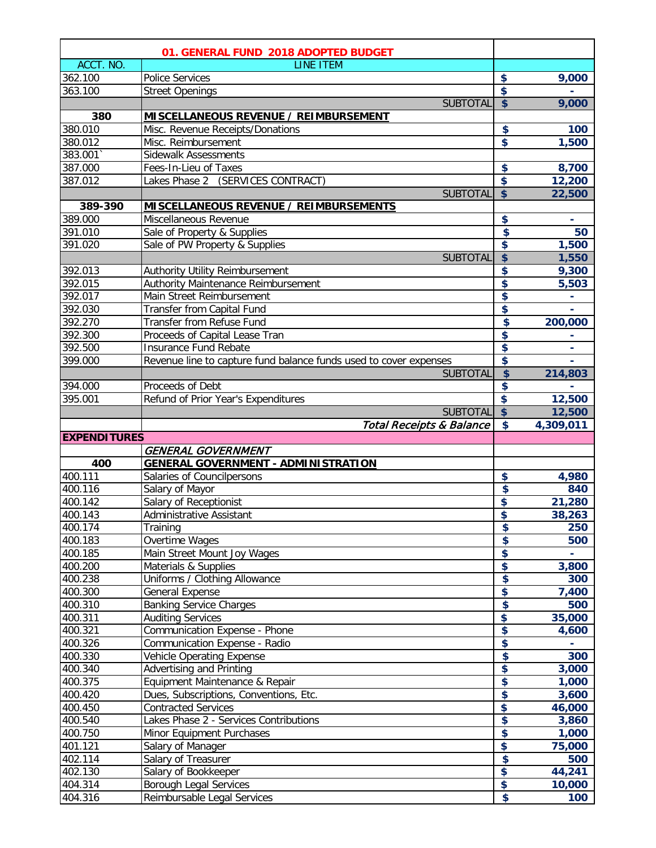| 01. GENERAL FUND 2018 ADOPTED BUDGET |                                                                   |                         |               |
|--------------------------------------|-------------------------------------------------------------------|-------------------------|---------------|
| ACCT. NO.                            | <b>LINE ITEM</b>                                                  |                         |               |
| 362.100                              | <b>Police Services</b>                                            | \$                      | 9,000         |
| 363.100                              | Street Openings                                                   | \$                      |               |
|                                      | <b>SUBTOTAL</b>                                                   | $\overline{\mathbf{S}}$ | 9,000         |
| 380                                  | MISCELLANEOUS REVENUE / REIMBURSEMENT                             |                         |               |
| 380.010                              | Misc. Revenue Receipts/Donations                                  | \$                      | 100           |
| 380.012                              | Misc. Reimbursement                                               | \$                      | 1,500         |
| 383.001                              | Sidewalk Assessments                                              |                         |               |
| 387.000                              | Fees-In-Lieu of Taxes                                             | \$                      | 8,700         |
| 387.012                              | Lakes Phase 2 (SERVICES CONTRACT)                                 | \$                      | 12,200        |
|                                      | <b>SUBTOTAL</b>                                                   | $\overline{\mathbf{S}}$ | 22,500        |
| 389-390                              | <b>MISCELLANEOUS REVENUE / REIMBURSEMENTS</b>                     |                         |               |
| 389.000                              | Miscellaneous Revenue                                             | \$                      |               |
| 391.010                              | Sale of Property & Supplies                                       | \$                      | 50            |
| 391.020                              | Sale of PW Property & Supplies                                    | \$                      | 1,500         |
|                                      | <b>SUBTOTAL</b>                                                   | \$                      | 1,550         |
| 392.013                              | Authority Utility Reimbursement                                   | \$                      | 9,300         |
| 392.015                              | Authority Maintenance Reimbursement                               | \$                      | 5,503         |
| 392.017                              | Main Street Reimbursement                                         | \$                      |               |
| 392.030                              | Transfer from Capital Fund                                        | \$                      |               |
| 392.270                              | Transfer from Refuse Fund                                         | \$                      | 200,000       |
| 392.300                              | Proceeds of Capital Lease Tran                                    | \$                      |               |
| 392.500                              | Insurance Fund Rebate                                             | \$                      |               |
| 399.000                              | Revenue line to capture fund balance funds used to cover expenses | \$                      |               |
|                                      | <b>SUBTOTAL</b>                                                   | \$                      | 214,803       |
| 394.000                              | Proceeds of Debt                                                  | \$                      |               |
| 395.001                              | Refund of Prior Year's Expenditures                               | \$                      | 12,500        |
|                                      | <b>SUBTOTAL</b>                                                   | $\overline{\mathbf{S}}$ | 12,500        |
|                                      |                                                                   |                         |               |
|                                      | <b>Total Receipts &amp; Balance</b>                               | $\overline{\mathbf{S}}$ | 4,309,011     |
| <b>EXPENDITURES</b>                  |                                                                   |                         |               |
|                                      | <b>GENERAL GOVERNMENT</b>                                         |                         |               |
| 400                                  | <b>GENERAL GOVERNMENT - ADMINISTRATION</b>                        |                         |               |
| 400.111                              | Salaries of Councilpersons                                        | \$                      | 4,980         |
| 400.116                              | Salary of Mayor                                                   | \$                      | 840           |
| 400.142<br>400.143                   | Salary of Receptionist                                            | \$<br>\$                | 21,280        |
|                                      | Administrative Assistant                                          |                         | 38,263        |
| 400.174<br>400.183                   | Training                                                          |                         | 250<br>500    |
| 400.185                              | Overtime Wages<br>Main Street Mount Joy Wages                     | $\frac{1}{2}$           |               |
| 400.200                              |                                                                   | \$                      |               |
| 400.238                              | Materials & Supplies<br>Uniforms / Clothing Allowance             | \$<br>\$                | 3,800<br>300  |
| 400.300                              | General Expense                                                   | \$                      | 7,400         |
| 400.310                              |                                                                   | \$                      | 500           |
| 400.311                              | <b>Banking Service Charges</b><br><b>Auditing Services</b>        | \$                      | 35,000        |
| 400.321                              | Communication Expense - Phone                                     | \$                      | 4,600         |
| 400.326                              | Communication Expense - Radio                                     | \$                      |               |
| 400.330                              | Vehicle Operating Expense                                         | \$                      | 300           |
| 400.340                              | Advertising and Printing                                          | \$                      | 3,000         |
| 400.375                              | Equipment Maintenance & Repair                                    | \$                      | 1,000         |
| 400.420                              | Dues, Subscriptions, Conventions, Etc.                            | \$                      | 3,600         |
| 400.450                              | <b>Contracted Services</b>                                        | \$                      | 46,000        |
| 400.540                              | Lakes Phase 2 - Services Contributions                            | \$                      | 3,860         |
| 400.750                              | Minor Equipment Purchases                                         | \$                      | 1,000         |
| 401.121                              | Salary of Manager                                                 | \$                      | 75,000        |
| 402.114                              | Salary of Treasurer                                               | \$                      | 500           |
| 402.130                              | Salary of Bookkeeper                                              | \$                      | 44,241        |
| 404.314<br>404.316                   | Borough Legal Services<br>Reimbursable Legal Services             | \$<br>\$                | 10,000<br>100 |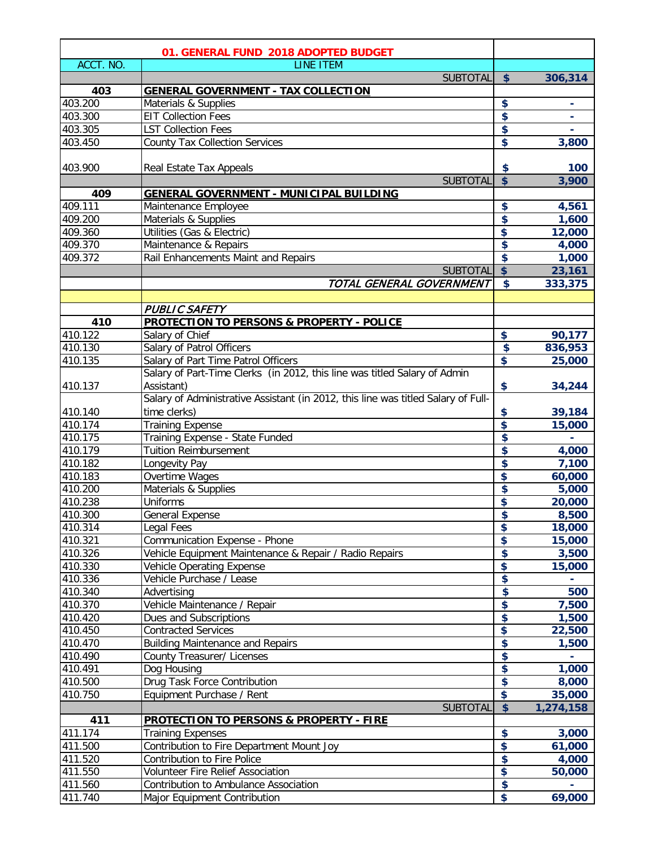|           | 01. GENERAL FUND 2018 ADOPTED BUDGET                                              |                 |           |
|-----------|-----------------------------------------------------------------------------------|-----------------|-----------|
| ACCT. NO. | <b>LINE ITEM</b>                                                                  |                 |           |
|           | <b>SUBTOTAL</b>                                                                   | \$              | 306,314   |
| 403       | <b>GENERAL GOVERNMENT - TAX COLLECTION</b>                                        |                 |           |
| 403.200   | Materials & Supplies                                                              | \$              |           |
| 403.300   | <b>EIT Collection Fees</b>                                                        | \$              |           |
| 403.305   | <b>LST Collection Fees</b>                                                        | \$              |           |
| 403.450   | <b>County Tax Collection Services</b>                                             | \$              | 3,800     |
|           |                                                                                   |                 |           |
| 403.900   | Real Estate Tax Appeals                                                           | \$              | 100       |
|           | <b>SUBTOTAL</b>                                                                   | \$              | 3,900     |
| 409       | <b>GENERAL GOVERNMENT - MUNICIPAL BUILDING</b>                                    |                 |           |
| 409.111   | Maintenance Employee                                                              | \$              | 4,561     |
| 409.200   | Materials & Supplies                                                              | \$              | 1,600     |
| 409.360   | Utilities (Gas & Electric)                                                        | \$              | 12,000    |
| 409.370   | Maintenance & Repairs                                                             | \$              | 4,000     |
| 409.372   | Rail Enhancements Maint and Repairs                                               | \$              | 1,000     |
|           | <b>SUBTOTAL</b>                                                                   | \$              | 23,161    |
|           | TOTAL GENERAL GOVERNMENT                                                          | $\bullet$       | 333,375   |
|           |                                                                                   |                 |           |
|           | <b>PUBLIC SAFETY</b>                                                              |                 |           |
| 410       | <b>PROTECTION TO PERSONS &amp; PROPERTY - POLICE</b>                              |                 |           |
| 410.122   | Salary of Chief                                                                   | \$              | 90,177    |
| 410.130   | Salary of Patrol Officers                                                         | \$              | 836,953   |
| 410.135   | Salary of Part Time Patrol Officers                                               | \$              | 25,000    |
|           | Salary of Part-Time Clerks (in 2012, this line was titled Salary of Admin         |                 |           |
| 410.137   | Assistant)                                                                        | \$              | 34,244    |
|           | Salary of Administrative Assistant (in 2012, this line was titled Salary of Full- |                 |           |
| 410.140   | time clerks)                                                                      | \$              | 39,184    |
| 410.174   | <b>Training Expense</b>                                                           | \$              | 15,000    |
| 410.175   | Training Expense - State Funded                                                   | \$              |           |
| 410.179   | <b>Tuition Reimbursement</b>                                                      | \$              | 4,000     |
| 410.182   | Longevity Pay                                                                     | \$              | 7,100     |
| 410.183   | Overtime Wages                                                                    | \$              | 60,000    |
| 410.200   | Materials & Supplies                                                              | \$              | 5,000     |
| 410.238   | <b>Uniforms</b>                                                                   | \$              | 20,000    |
| 410.300   | <b>General Expense</b>                                                            | \$              | 8,500     |
| 410.314   | Legal Fees                                                                        | \$              | 18,000    |
| 410.321   | Communication Expense - Phone                                                     | \$              | 15,000    |
| 410.326   | Vehicle Equipment Maintenance & Repair / Radio Repairs                            | \$              | 3,500     |
| 410.330   | Vehicle Operating Expense                                                         | \$              | 15,000    |
| 410.336   | Vehicle Purchase / Lease                                                          | \$              |           |
| 410.340   | Advertising                                                                       | \$              | 500       |
| 410.370   | Vehicle Maintenance / Repair                                                      | \$              | 7,500     |
| 410.420   | Dues and Subscriptions                                                            | \$              | 1,500     |
| 410.450   | <b>Contracted Services</b>                                                        | \$              | 22,500    |
| 410.470   | <b>Building Maintenance and Repairs</b>                                           | \$              | 1,500     |
| 410.490   | County Treasurer/ Licenses                                                        | \$              |           |
| 410.491   | Dog Housing                                                                       | \$              | 1,000     |
| 410.500   | Drug Task Force Contribution                                                      | \$              | 8,000     |
| 410.750   | Equipment Purchase / Rent                                                         | \$              | 35,000    |
|           | <b>SUBTOTAL</b>                                                                   | $\overline{\$}$ | 1,274,158 |
| 411       | <b>PROTECTION TO PERSONS &amp; PROPERTY - FIRE</b>                                |                 |           |
| 411.174   | <b>Training Expenses</b>                                                          | \$              | 3,000     |
| 411.500   | Contribution to Fire Department Mount Joy                                         | \$              | 61,000    |
| 411.520   | Contribution to Fire Police                                                       | \$              | 4,000     |
| 411.550   | Volunteer Fire Relief Association                                                 | \$              | 50,000    |
| 411.560   | Contribution to Ambulance Association                                             | \$              |           |
| 411.740   | Major Equipment Contribution                                                      | \$              | 69,000    |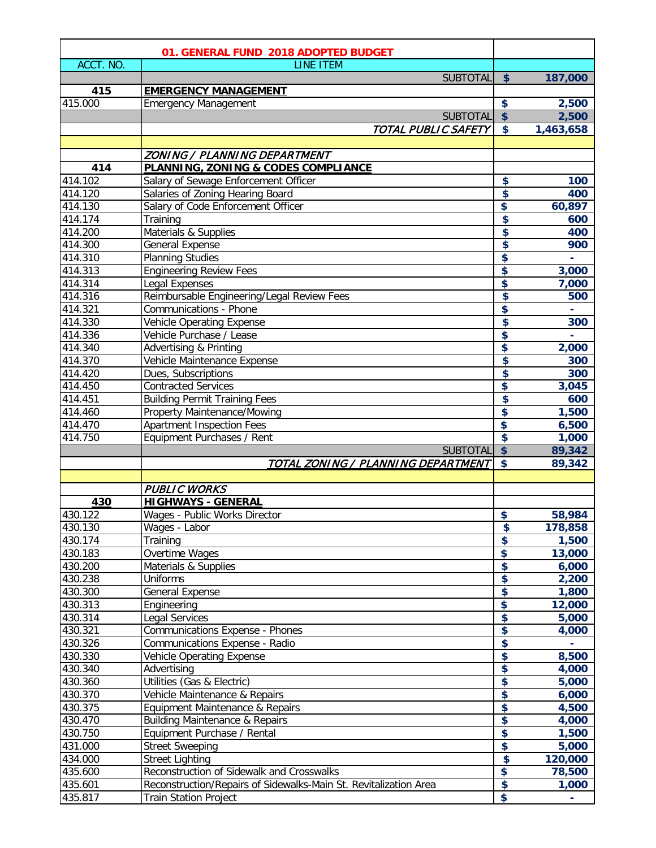|           | 01. GENERAL FUND 2018 ADOPTED BUDGET                             |                                                    |                |
|-----------|------------------------------------------------------------------|----------------------------------------------------|----------------|
| ACCT. NO. | LINE ITEM                                                        |                                                    |                |
|           | <b>SUBTOTAL</b>                                                  | \$                                                 | 187,000        |
| 415       | <b>EMERGENCY MANAGEMENT</b>                                      |                                                    |                |
| 415.000   | <b>Emergency Management</b>                                      | \$                                                 | 2,500          |
|           | <b>SUBTOTAL</b>                                                  | $\overline{\$}$                                    | 2,500          |
|           | TOTAL PUBLIC SAFETY                                              | $\bullet$                                          | 1,463,658      |
|           |                                                                  |                                                    |                |
|           | ZONING / PLANNING DEPARTMENT                                     |                                                    |                |
| 414       | <b>PLANNING, ZONING &amp; CODES COMPLIANCE</b>                   |                                                    |                |
| 414.102   | Salary of Sewage Enforcement Officer                             | \$                                                 | 100            |
| 414.120   | Salaries of Zoning Hearing Board                                 | $\overline{\mathbf{S}}$                            | 400            |
| 414.130   | Salary of Code Enforcement Officer                               | \$                                                 | 60,897         |
| 414.174   | Training                                                         | \$                                                 | 600            |
| 414.200   | Materials & Supplies                                             | $\overline{\boldsymbol{\mathsf{s}}}$               | 400            |
| 414.300   | <b>General Expense</b>                                           | $\overline{\boldsymbol{\mathsf{s}}}$               | 900            |
| 414.310   | <b>Planning Studies</b>                                          | \$                                                 |                |
| 414.313   | <b>Engineering Review Fees</b>                                   | \$                                                 | 3,000          |
| 414.314   | Legal Expenses                                                   | \$                                                 | 7,000          |
| 414.316   | Reimbursable Engineering/Legal Review Fees                       | \$                                                 | 500            |
| 414.321   | Communications - Phone                                           | \$                                                 |                |
| 414.330   | Vehicle Operating Expense                                        | $\overline{\boldsymbol{\mathsf{s}}}$               | 300            |
| 414.336   | Vehicle Purchase / Lease                                         | \$                                                 |                |
| 414.340   | Advertising & Printing                                           | \$                                                 | 2,000          |
| 414.370   | Vehicle Maintenance Expense                                      | \$                                                 | 300            |
| 414.420   | Dues, Subscriptions                                              | $\overline{\mathbf{S}}$                            | 300            |
| 414.450   | <b>Contracted Services</b>                                       | \$                                                 | 3,045          |
| 414.451   | <b>Building Permit Training Fees</b>                             | \$                                                 | 600            |
| 414.460   | Property Maintenance/Mowing                                      | \$                                                 | 1,500          |
| 414.470   | <b>Apartment Inspection Fees</b>                                 | \$                                                 | 6,500          |
| 414.750   | Equipment Purchases / Rent                                       | \$                                                 | 1,000          |
|           | <b>SUBTOTAL</b>                                                  | $\overline{\mathbf{S}}$<br>$\overline{\mathbf{S}}$ | 89,342         |
|           | TOTAL ZONING / PLANNING DEPARTMENT                               |                                                    | 89,342         |
|           | <b>PUBLIC WORKS</b>                                              |                                                    |                |
| 430       | <b>HIGHWAYS - GENERAL</b>                                        |                                                    |                |
| 430.122   | Wages - Public Works Director                                    | \$                                                 | 58,984         |
| 430.130   | Wages - Labor                                                    | \$                                                 | 178,858        |
| 430.174   | Training                                                         | \$                                                 | 1,500          |
| 430.183   | Overtime Wages                                                   | \$                                                 | 13,000         |
| 430.200   | Materials & Supplies                                             | \$                                                 | 6,000          |
| 430.238   | Uniforms                                                         | \$                                                 | 2,200          |
| 430.300   | <b>General Expense</b>                                           | $\blacklozenge$                                    | 1,800          |
| 430.313   | Engineering                                                      | \$                                                 | 12,000         |
| 430.314   | Legal Services                                                   | \$                                                 | 5,000          |
| 430.321   | Communications Expense - Phones                                  | $\blacklozenge$                                    | 4,000          |
| 430.326   | Communications Expense - Radio                                   | \$                                                 |                |
| 430.330   | Vehicle Operating Expense                                        | \$                                                 | 8,500          |
| 430.340   | Advertising                                                      | $\blacklozenge$                                    | 4,000          |
| 430.360   | Utilities (Gas & Electric)                                       | \$                                                 | 5,000          |
| 430.370   | Vehicle Maintenance & Repairs                                    | \$                                                 | 6,000          |
| 430.375   | Equipment Maintenance & Repairs                                  | \$                                                 | 4,500          |
| 430.470   | <b>Building Maintenance &amp; Repairs</b>                        | \$                                                 | 4,000          |
| 430.750   | Equipment Purchase / Rental                                      | $\blacklozenge$                                    | 1,500          |
| 431.000   | <b>Street Sweeping</b>                                           | \$                                                 | 5,000          |
| 434.000   | <b>Street Lighting</b>                                           | $\overline{\mathbf{S}}$                            | 120,000        |
| 435.600   | Reconstruction of Sidewalk and Crosswalks                        | \$                                                 | 78,500         |
| 435.601   | Reconstruction/Repairs of Sidewalks-Main St. Revitalization Area | \$                                                 | 1,000          |
| 435.817   | <b>Train Station Project</b>                                     | \$                                                 | $\blacksquare$ |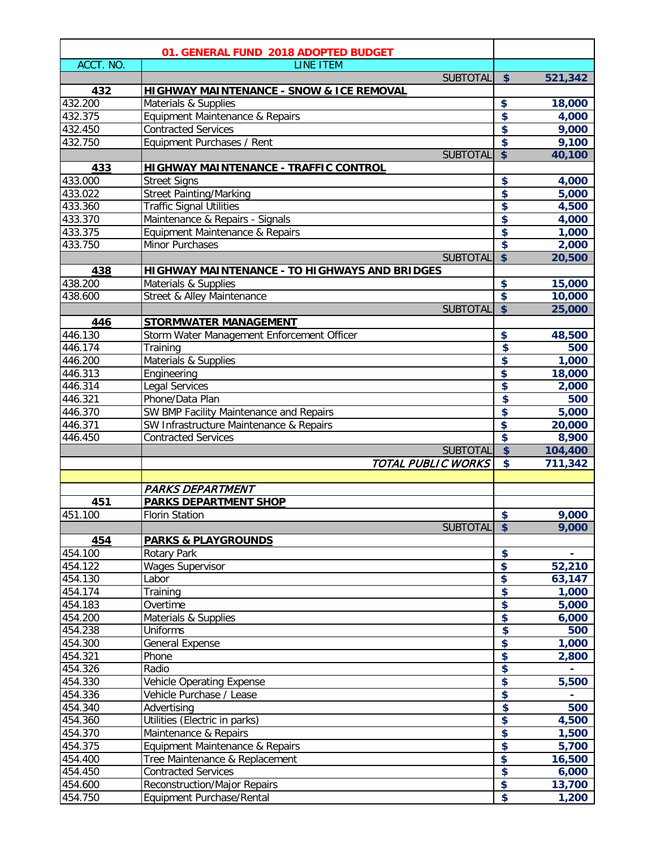|           | 01. GENERAL FUND 2018 ADOPTED BUDGET                 |                         |                 |
|-----------|------------------------------------------------------|-------------------------|-----------------|
| ACCT. NO. | <b>LINE ITEM</b>                                     |                         |                 |
|           | <b>SUBTOTAL</b>                                      | \$                      | 521,342         |
| 432       | <u> HIGHWAY MAINTENANCE - SNOW &amp; ICE REMOVAL</u> |                         |                 |
| 432.200   | Materials & Supplies                                 | \$                      | 18,000          |
| 432.375   | Equipment Maintenance & Repairs                      | \$                      | 4,000           |
| 432.450   | <b>Contracted Services</b>                           | \$                      | 9,000           |
| 432.750   | Equipment Purchases / Rent                           | $\overline{\mathbf{S}}$ | 9,100           |
|           | <b>SUBTOTAL</b>                                      | $\overline{\mathsf{s}}$ | 40,100          |
| 433       | <b>HIGHWAY MAINTENANCE - TRAFFIC CONTROL</b>         |                         |                 |
| 433.000   | <b>Street Signs</b>                                  | \$                      | 4,000           |
| 433.022   | <b>Street Painting/Marking</b>                       | \$                      | 5,000           |
| 433.360   | <b>Traffic Signal Utilities</b>                      | \$                      | 4,500           |
| 433.370   | Maintenance & Repairs - Signals                      | \$                      | 4,000           |
| 433.375   | Equipment Maintenance & Repairs                      | \$                      | 1,000           |
| 433.750   | <b>Minor Purchases</b>                               | $\overline{\mathbf{S}}$ | 2,000           |
|           | <b>SUBTOTAL</b>                                      | $\overline{\mathsf{s}}$ | 20,500          |
| 438       | <b>HIGHWAY MAINTENANCE - TO HIGHWAYS AND BRIDGES</b> |                         |                 |
| 438.200   | Materials & Supplies                                 | \$                      | 15,000          |
| 438.600   | Street & Alley Maintenance                           | $\overline{\mathbf{S}}$ | 10,000          |
|           | <b>SUBTOTAL</b>                                      | $\overline{\mathbf{S}}$ | 25,000          |
| 446       | <b>STORMWATER MANAGEMENT</b>                         |                         |                 |
| 446.130   | Storm Water Management Enforcement Officer           | \$                      | 48,500          |
| 446.174   | Training                                             | \$                      | 500             |
| 446.200   | Materials & Supplies                                 | \$                      | 1,000           |
| 446.313   | Engineering                                          | \$                      | 18,000          |
| 446.314   | Legal Services                                       | \$                      | 2,000           |
| 446.321   | Phone/Data Plan                                      | \$                      | 500             |
| 446.370   | SW BMP Facility Maintenance and Repairs              | \$                      | 5,000           |
| 446.371   | SW Infrastructure Maintenance & Repairs              | \$                      | 20,000          |
| 446.450   | <b>Contracted Services</b>                           | $\overline{\mathbf{S}}$ | 8,900           |
|           | <b>SUBTOTAL</b>                                      | $\overline{\$}$         | 104,400         |
|           | TOTAL PUBLIC WORKS                                   | $\overline{\mathbf{3}}$ | 711,342         |
|           |                                                      |                         |                 |
|           | <b>PARKS DEPARTMENT</b>                              |                         |                 |
| 451       | <b>PARKS DEPARTMENT SHOP</b>                         |                         |                 |
| 451.100   | <b>Florin Station</b>                                | \$                      | 9,000           |
|           | <b>SUBTOTAL</b>                                      | $\frac{1}{2}$           | 9,000           |
| 454       | <b>PARKS &amp; PLAYGROUNDS</b>                       |                         |                 |
| 454.100   | Rotary Park                                          | \$                      |                 |
| 454.122   | <b>Wages Supervisor</b>                              | $\overline{\mathbf{S}}$ | 52,210          |
| 454.130   | Labor                                                | $\overline{\mathbf{S}}$ | 63,147          |
| 454.174   | Training                                             | \$                      | 1,000           |
| 454.183   | Overtime                                             | \$                      | 5,000           |
| 454.200   | Materials & Supplies                                 | \$                      | 6,000           |
| 454.238   | Uniforms                                             | \$                      | 500             |
| 454.300   | <b>General Expense</b>                               | \$                      | 1,000           |
| 454.321   | Phone                                                | \$                      | 2,800           |
| 454.326   | Radio                                                | \$                      |                 |
| 454.330   | Vehicle Operating Expense                            | \$                      | 5,500           |
| 454.336   | Vehicle Purchase / Lease                             | \$                      |                 |
| 454.340   | Advertising                                          | \$                      | 500             |
| 454.360   | Utilities (Electric in parks)                        | \$                      | 4,500           |
| 454.370   | Maintenance & Repairs                                | \$                      | 1,500           |
| 454.375   | Equipment Maintenance & Repairs                      | \$                      | 5,700           |
| 454.400   | Tree Maintenance & Replacement                       | $\bullet$               | 16,500          |
| 454.450   | <b>Contracted Services</b>                           | $\overline{\mathbf{S}}$ | 6,000           |
| 454.600   | Reconstruction/Major Repairs                         | \$                      |                 |
| 454.750   | Equipment Purchase/Rental                            | \$                      | 13,700<br>1,200 |
|           |                                                      |                         |                 |